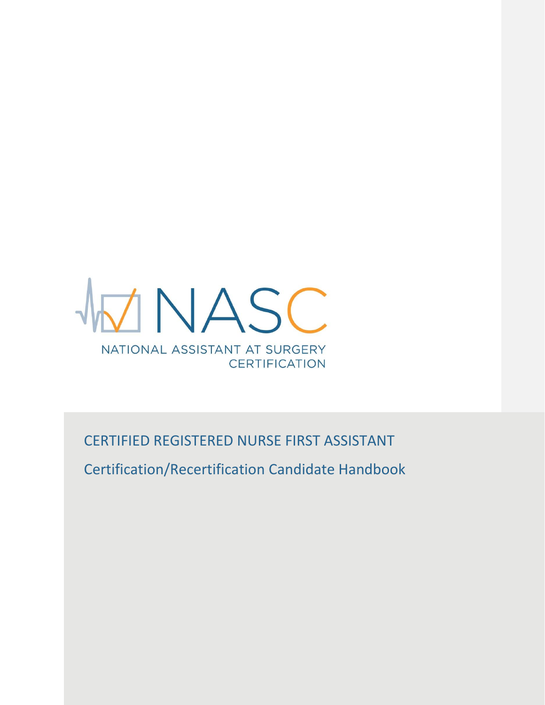

CERTIFIED REGISTERED NURSE FIRST ASSISTANT

Certification/Recertification Candidate Handbook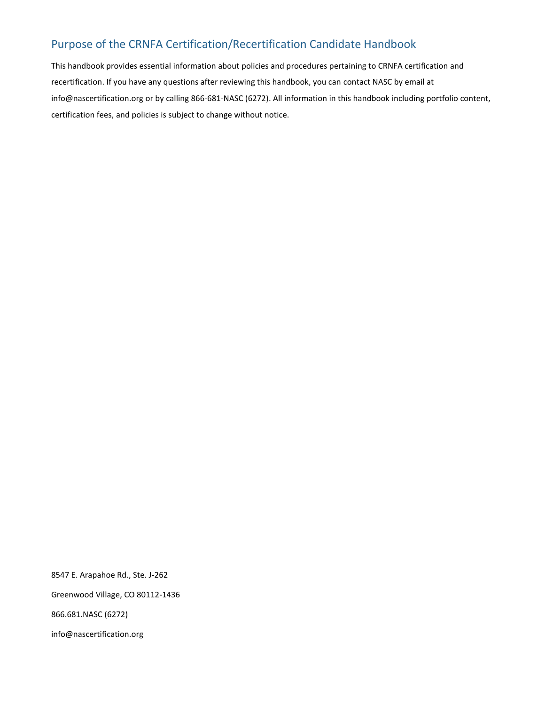# Purpose of the CRNFA Certification/Recertification Candidate Handbook

This handbook provides essential information about policies and procedures pertaining to CRNFA certification and recertification. If you have any questions after reviewing this handbook, you can contact NASC by email at info@nascertification.org or by calling 866-681-NASC (6272). All information in this handbook including portfolio content, certification fees, and policies is subject to change without notice.

8547 E. Arapahoe Rd., Ste. J-262

Greenwood Village, CO 80112-1436

866.681.NASC (6272)

info@nascertification.org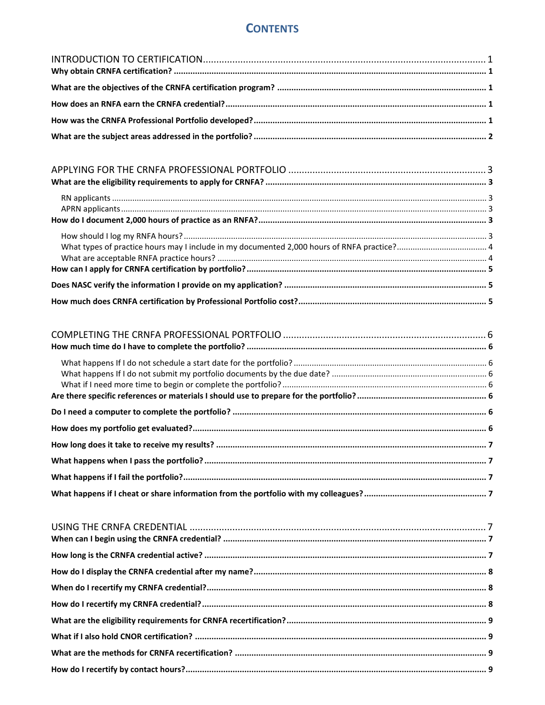# **CONTENTS**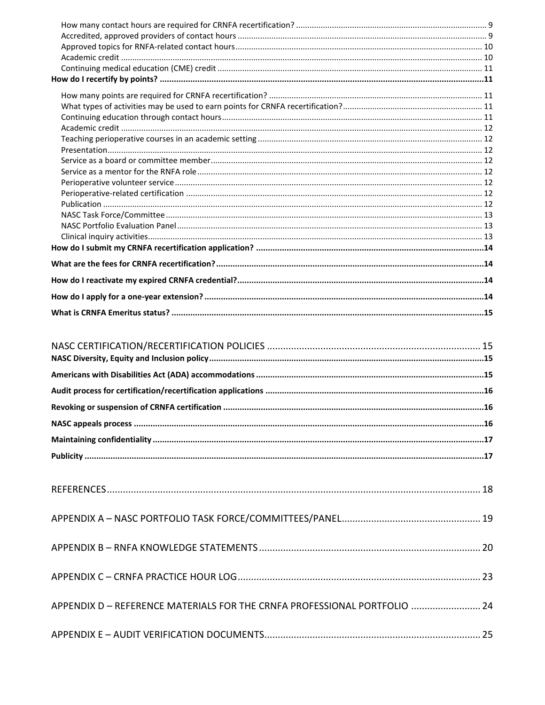| APPENDIX D - REFERENCE MATERIALS FOR THE CRNFA PROFESSIONAL PORTFOLIO  24 |  |
|---------------------------------------------------------------------------|--|
|                                                                           |  |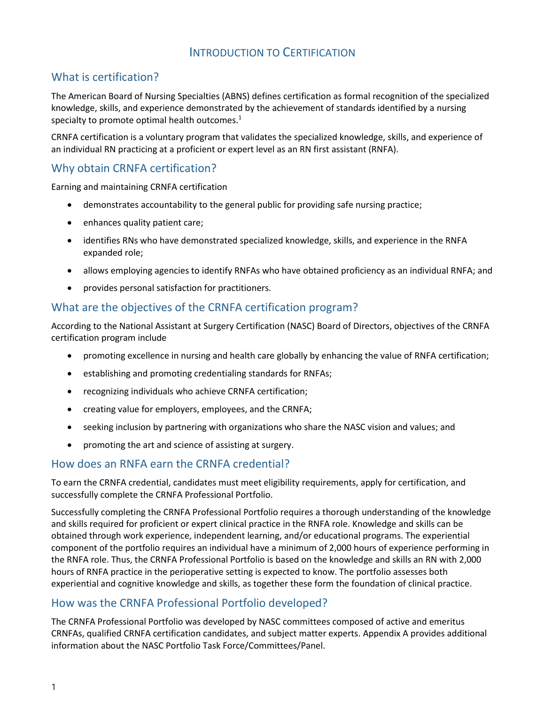# INTRODUCTION TO CERTIFICATION

# <span id="page-4-0"></span>What is certification?

The American Board of Nursing Specialties (ABNS) defines certification as formal recognition of the specialized knowledge, skills, and experience demonstrated by the achievement of standards identified by a nursing specialty to promote optimal health outcomes. $<sup>1</sup>$ </sup>

CRNFA certification is a voluntary program that validates the specialized knowledge, skills, and experience of an individual RN practicing at a proficient or expert level as an RN first assistant (RNFA).

# <span id="page-4-1"></span>Why obtain CRNFA certification?

Earning and maintaining CRNFA certification

- demonstrates accountability to the general public for providing safe nursing practice;
- enhances quality patient care;
- identifies RNs who have demonstrated specialized knowledge, skills, and experience in the RNFA expanded role;
- allows employing agencies to identify RNFAs who have obtained proficiency as an individual RNFA; and
- provides personal satisfaction for practitioners.

## <span id="page-4-2"></span>What are the objectives of the CRNFA certification program?

According to the National Assistant at Surgery Certification (NASC) Board of Directors, objectives of the CRNFA certification program include

- promoting excellence in nursing and health care globally by enhancing the value of RNFA certification;
- establishing and promoting credentialing standards for RNFAs;
- recognizing individuals who achieve CRNFA certification;
- creating value for employers, employees, and the CRNFA;
- seeking inclusion by partnering with organizations who share the NASC vision and values; and
- promoting the art and science of assisting at surgery.

## <span id="page-4-3"></span>How does an RNFA earn the CRNFA credential?

To earn the CRNFA credential, candidates must meet eligibility requirements, apply for certification, and successfully complete the CRNFA Professional Portfolio.

Successfully completing the CRNFA Professional Portfolio requires a thorough understanding of the knowledge and skills required for proficient or expert clinical practice in the RNFA role. Knowledge and skills can be obtained through work experience, independent learning, and/or educational programs. The experiential component of the portfolio requires an individual have a minimum of 2,000 hours of experience performing in the RNFA role. Thus, the CRNFA Professional Portfolio is based on the knowledge and skills an RN with 2,000 hours of RNFA practice in the perioperative setting is expected to know. The portfolio assesses both experiential and cognitive knowledge and skills, as together these form the foundation of clinical practice.

## <span id="page-4-4"></span>How was the CRNFA Professional Portfolio developed?

The CRNFA Professional Portfolio was developed by NASC committees composed of active and emeritus CRNFAs, qualified CRNFA certification candidates, and subject matter experts. Appendix A provides additional information about the NASC Portfolio Task Force/Committees/Panel.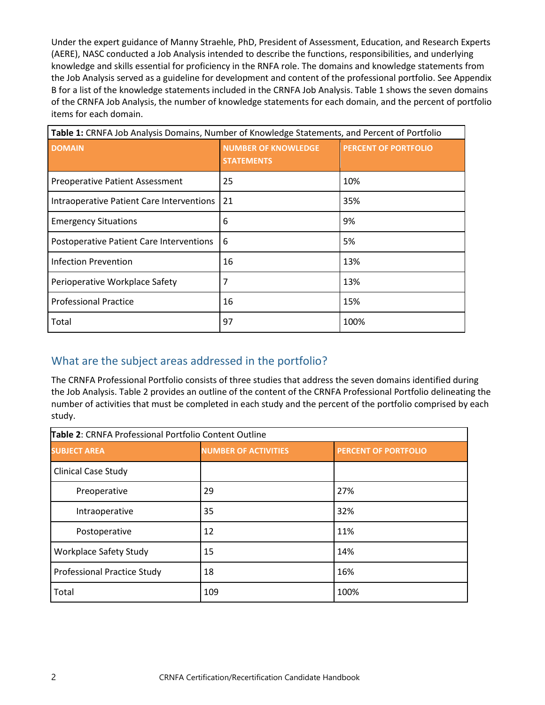Under the expert guidance of Manny Straehle, PhD, President of Assessment, Education, and Research Experts (AERE), NASC conducted a Job Analysis intended to describe the functions, responsibilities, and underlying knowledge and skills essential for proficiency in the RNFA role. The domains and knowledge statements from the Job Analysis served as a guideline for development and content of the professional portfolio. See Appendix B for a list of the knowledge statements included in the CRNFA Job Analysis. Table 1 shows the seven domains of the CRNFA Job Analysis, the number of knowledge statements for each domain, and the percent of portfolio items for each domain.

| Table 1: CRNFA Job Analysis Domains, Number of Knowledge Statements, and Percent of Portfolio |                                                 |                             |  |
|-----------------------------------------------------------------------------------------------|-------------------------------------------------|-----------------------------|--|
| <b>DOMAIN</b>                                                                                 | <b>NUMBER OF KNOWLEDGE</b><br><b>STATEMENTS</b> | <b>PERCENT OF PORTFOLIO</b> |  |
| <b>Preoperative Patient Assessment</b>                                                        | 25                                              | 10%                         |  |
| Intraoperative Patient Care Interventions                                                     | 21                                              | 35%                         |  |
| <b>Emergency Situations</b>                                                                   | 6                                               | 9%                          |  |
| Postoperative Patient Care Interventions                                                      | 6                                               | 5%                          |  |
| <b>Infection Prevention</b>                                                                   | 16                                              | 13%                         |  |
| Perioperative Workplace Safety                                                                | 7                                               | 13%                         |  |
| <b>Professional Practice</b>                                                                  | 16                                              | 15%                         |  |
| Total                                                                                         | 97                                              | 100%                        |  |

# <span id="page-5-0"></span>What are the subject areas addressed in the portfolio?

The CRNFA Professional Portfolio consists of three studies that address the seven domains identified during the Job Analysis. Table 2 provides an outline of the content of the CRNFA Professional Portfolio delineating the number of activities that must be completed in each study and the percent of the portfolio comprised by each study.

| Table 2: CRNFA Professional Portfolio Content Outline |                             |                             |  |
|-------------------------------------------------------|-----------------------------|-----------------------------|--|
| <b>SUBJECT AREA</b>                                   | <b>NUMBER OF ACTIVITIES</b> | <b>PERCENT OF PORTFOLIO</b> |  |
| <b>Clinical Case Study</b>                            |                             |                             |  |
| Preoperative                                          | 29                          | 27%                         |  |
| Intraoperative                                        | 35                          | 32%                         |  |
| Postoperative                                         | 12                          | 11%                         |  |
| <b>Workplace Safety Study</b>                         | 15                          | 14%                         |  |
| <b>Professional Practice Study</b>                    | 18                          | 16%                         |  |
| Total                                                 | 109                         | 100%                        |  |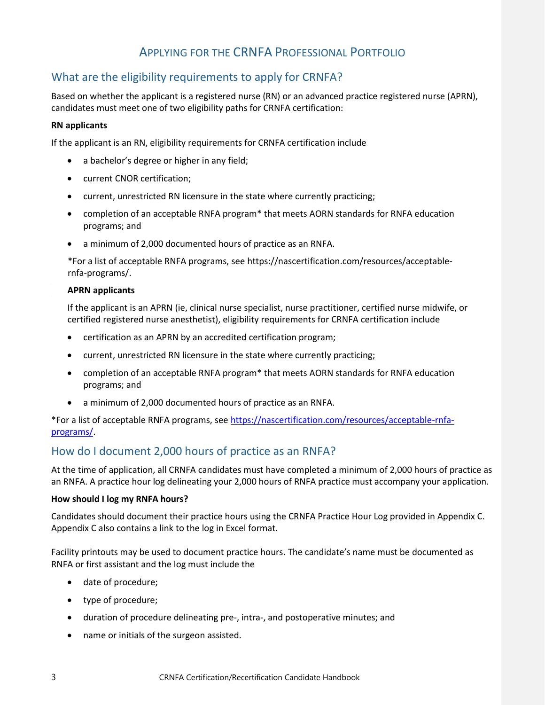# APPLYING FOR THE CRNFA PROFESSIONAL PORTFOLIO

# <span id="page-6-1"></span><span id="page-6-0"></span>What are the eligibility requirements to apply for CRNFA?

Based on whether the applicant is a registered nurse (RN) or an advanced practice registered nurse (APRN), candidates must meet one of two eligibility paths for CRNFA certification:

### <span id="page-6-2"></span>**RN applicants**

If the applicant is an RN, eligibility requirements for CRNFA certification include

- a bachelor's degree or higher in any field;
- current CNOR certification;
- current, unrestricted RN licensure in the state where currently practicing;
- completion of an acceptable RNFA program\* that meets AORN standards for RNFA education programs; and
- a minimum of 2,000 documented hours of practice as an RNFA.

\*For a list of acceptable RNFA programs[, see https://nascertification.com/resources/acceptable](https://nascertification.com/resources/acceptable-rnfa-programs/)[rnfa-pr](https://nascertification.com/resources/acceptable-rnfa-programs/)ograms/.

### <span id="page-6-3"></span>**APRN applicants**

If the applicant is an APRN (ie, clinical nurse specialist, nurse practitioner, certified nurse midwife, or certified registered nurse anesthetist), eligibility requirements for CRNFA certification include

- certification as an APRN by an accredited certification program;
- current, unrestricted RN licensure in the state where currently practicing;
- completion of an acceptable RNFA program\* that meets AORN standards for RNFA education programs; and
- a minimum of 2,000 documented hours of practice as an RNFA.

\*For a list of acceptable RNFA programs, see [https://nascertification.com/resources/acceptable-rnfa](https://nascertification.com/resources/acceptable-rnfa-programs/)[programs/.](https://nascertification.com/resources/acceptable-rnfa-programs/)

## <span id="page-6-4"></span>How do I document 2,000 hours of practice as an RNFA?

At the time of application, all CRNFA candidates must have completed a minimum of 2,000 hours of practice as an RNFA. A practice hour log delineating your 2,000 hours of RNFA practice must accompany your application.

### <span id="page-6-5"></span>**How should I log my RNFA hours?**

Candidates should document their practice hours using the CRNFA Practice Hour Log provided in Appendix C. Appendix C also contains a link to the log in Excel format.

Facility printouts may be used to document practice hours. The candidate's name must be documented as RNFA or first assistant and the log must include the

- date of procedure;
- type of procedure;
- duration of procedure delineating pre-, intra-, and postoperative minutes; and
- name or initials of the surgeon assisted.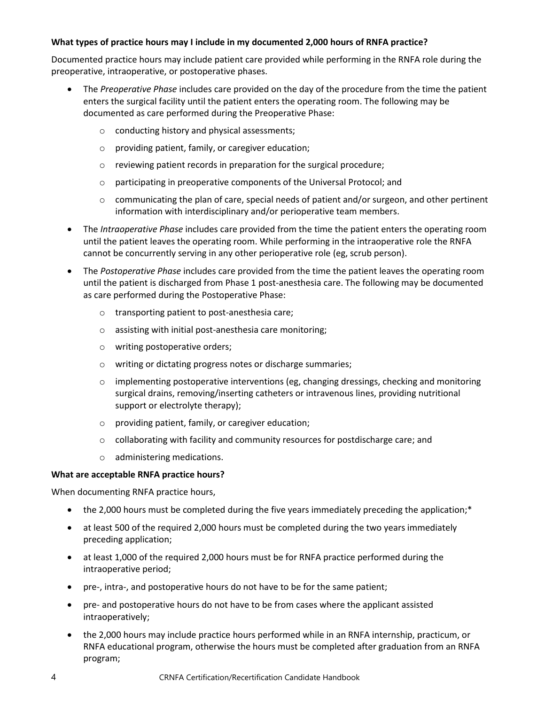### <span id="page-7-0"></span>**What types of practice hours may I include in my documented 2,000 hours of RNFA practice?**

Documented practice hours may include patient care provided while performing in the RNFA role during the preoperative, intraoperative, or postoperative phases.

- The *Preoperative Phase* includes care provided on the day of the procedure from the time the patient enters the surgical facility until the patient enters the operating room. The following may be documented as care performed during the Preoperative Phase:
	- o conducting history and physical assessments;
	- o providing patient, family, or caregiver education;
	- o reviewing patient records in preparation for the surgical procedure;
	- o participating in preoperative components of the Universal Protocol; and
	- $\circ$  communicating the plan of care, special needs of patient and/or surgeon, and other pertinent information with interdisciplinary and/or perioperative team members.
- The *Intraoperative Phase* includes care provided from the time the patient enters the operating room until the patient leaves the operating room. While performing in the intraoperative role the RNFA cannot be concurrently serving in any other perioperative role (eg, scrub person).
- The *Postoperative Phase* includes care provided from the time the patient leaves the operating room until the patient is discharged from Phase 1 post-anesthesia care. The following may be documented as care performed during the Postoperative Phase:
	- o transporting patient to post-anesthesia care;
	- o assisting with initial post-anesthesia care monitoring;
	- o writing postoperative orders;
	- o writing or dictating progress notes or discharge summaries;
	- $\circ$  implementing postoperative interventions (eg, changing dressings, checking and monitoring surgical drains, removing/inserting catheters or intravenous lines, providing nutritional support or electrolyte therapy);
	- o providing patient, family, or caregiver education;
	- o collaborating with facility and community resources for postdischarge care; and
	- o administering medications.

### <span id="page-7-1"></span>**What are acceptable RNFA practice hours?**

When documenting RNFA practice hours,

- the 2,000 hours must be completed during the five years immediately preceding the application;\*
- at least 500 of the required 2,000 hours must be completed during the two years immediately preceding application;
- at least 1,000 of the required 2,000 hours must be for RNFA practice performed during the intraoperative period;
- pre-, intra-, and postoperative hours do not have to be for the same patient;
- pre- and postoperative hours do not have to be from cases where the applicant assisted intraoperatively;
- the 2,000 hours may include practice hours performed while in an RNFA internship, practicum, or RNFA educational program, otherwise the hours must be completed after graduation from an RNFA program;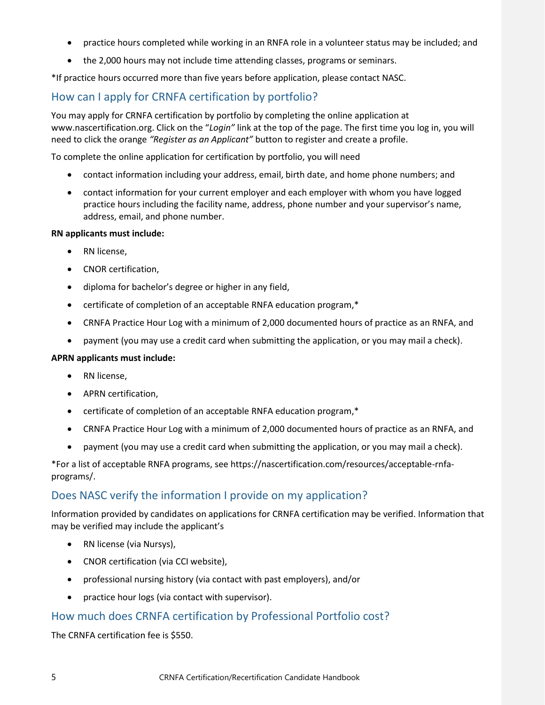- practice hours completed while working in an RNFA role in a volunteer status may be included; and
- the 2,000 hours may not include time attending classes, programs or seminars.

\*If practice hours occurred more than five years before application, please contact NASC.

# <span id="page-8-0"></span>How can I apply for CRNFA certification by portfolio?

You may apply for CRNFA certification by portfolio by completing the online application at www.nascertification.org. Click on the "*Login"* link at the top of the page. The first time you log in, you will need to click the orange *"Register as an Applicant"* button to register and create a profile.

To complete the online application for certification by portfolio, you will need

- contact information including your address, email, birth date, and home phone numbers; and
- contact information for your current employer and each employer with whom you have logged practice hours including the facility name, address, phone number and your supervisor's name, address, email, and phone number.

### **RN applicants must include:**

- RN license,
- CNOR certification,
- diploma for bachelor's degree or higher in any field,
- certificate of completion of an acceptable RNFA education program,\*
- CRNFA Practice Hour Log with a minimum of 2,000 documented hours of practice as an RNFA, and
- payment (you may use a credit card when submitting the application, or you may mail a check).

### **APRN applicants must include:**

- RN license,
- APRN certification,
- certificate of completion of an acceptable RNFA education program,\*
- CRNFA Practice Hour Log with a minimum of 2,000 documented hours of practice as an RNFA, and
- payment (you may use a credit card when submitting the application, or you may mail a check).

\*For a list of acceptable RNFA programs, see [https://nascertification.com/resources/acceptable-rnfa](https://nascertification.com/resources/acceptable-rnfa-programs/)[programs/.](https://nascertification.com/resources/acceptable-rnfa-programs/)

## <span id="page-8-1"></span>Does NASC verify the information I provide on my application?

Information provided by candidates on applications for CRNFA certification may be verified. Information that may be verified may include the applicant's

- RN license (via Nursys),
- CNOR certification (via CCI website),
- professional nursing history (via contact with past employers), and/or
- practice hour logs (via contact with supervisor).

### <span id="page-8-2"></span>How much does CRNFA certification by Professional Portfolio cost?

The CRNFA certification fee is \$550.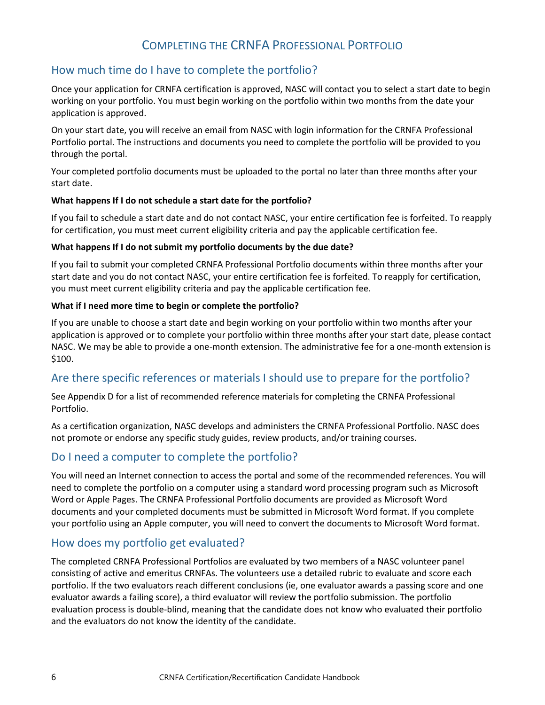# COMPLETING THE CRNFA PROFESSIONAL PORTFOLIO

# <span id="page-9-1"></span><span id="page-9-0"></span>How much time do I have to complete the portfolio?

Once your application for CRNFA certification is approved, NASC will contact you to select a start date to begin working on your portfolio. You must begin working on the portfolio within two months from the date your application is approved.

On your start date, you will receive an email from NASC with login information for the CRNFA Professional Portfolio portal. The instructions and documents you need to complete the portfolio will be provided to you through the portal.

Your completed portfolio documents must be uploaded to the portal no later than three months after your start date.

### <span id="page-9-2"></span>**What happens If I do not schedule a start date for the portfolio?**

If you fail to schedule a start date and do not contact NASC, your entire certification fee is forfeited. To reapply for certification, you must meet current eligibility criteria and pay the applicable certification fee.

### <span id="page-9-3"></span>**What happens If I do not submit my portfolio documents by the due date?**

If you fail to submit your completed CRNFA Professional Portfolio documents within three months after your start date and you do not contact NASC, your entire certification fee is forfeited. To reapply for certification, you must meet current eligibility criteria and pay the applicable certification fee.

### <span id="page-9-4"></span>**What if I need more time to begin or complete the portfolio?**

If you are unable to choose a start date and begin working on your portfolio within two months after your application is approved or to complete your portfolio within three months after your start date, please contact NASC. We may be able to provide a one-month extension. The administrative fee for a one-month extension is \$100.

## <span id="page-9-5"></span>Are there specific references or materials I should use to prepare for the portfolio?

See Appendix D for a list of recommended reference materials for completing the CRNFA Professional Portfolio.

As a certification organization, NASC develops and administers the CRNFA Professional Portfolio. NASC does not promote or endorse any specific study guides, review products, and/or training courses.

## <span id="page-9-6"></span>Do I need a computer to complete the portfolio?

You will need an Internet connection to access the portal and some of the recommended references. You will need to complete the portfolio on a computer using a standard word processing program such as Microsoft Word or Apple Pages. The CRNFA Professional Portfolio documents are provided as Microsoft Word documents and your completed documents must be submitted in Microsoft Word format. If you complete your portfolio using an Apple computer, you will need to convert the documents to Microsoft Word format.

## <span id="page-9-7"></span>How does my portfolio get evaluated?

The completed CRNFA Professional Portfolios are evaluated by two members of a NASC volunteer panel consisting of active and emeritus CRNFAs. The volunteers use a detailed rubric to evaluate and score each portfolio. If the two evaluators reach different conclusions (ie, one evaluator awards a passing score and one evaluator awards a failing score), a third evaluator will review the portfolio submission. The portfolio evaluation process is double-blind, meaning that the candidate does not know who evaluated their portfolio and the evaluators do not know the identity of the candidate.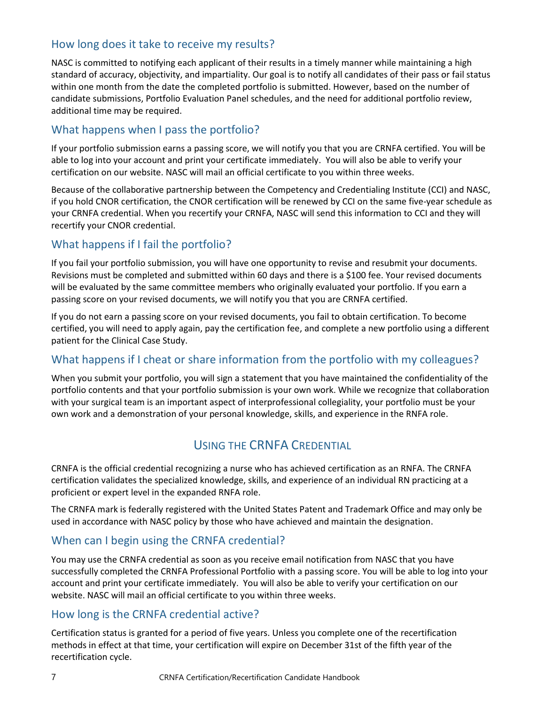# <span id="page-10-0"></span>How long does it take to receive my results?

NASC is committed to notifying each applicant of their results in a timely manner while maintaining a high standard of accuracy, objectivity, and impartiality. Our goal is to notify all candidates of their pass or fail status within one month from the date the completed portfolio is submitted. However, based on the number of candidate submissions, Portfolio Evaluation Panel schedules, and the need for additional portfolio review, additional time may be required.

## <span id="page-10-1"></span>What happens when I pass the portfolio?

If your portfolio submission earns a passing score, we will notify you that you are CRNFA certified. You will be able to log into your account and print your certificate immediately. You will also be able to verify your certification on our website. NASC will mail an official certificate to you within three weeks.

Because of the collaborative partnership between the Competency and Credentialing Institute (CCI) and NASC, if you hold CNOR certification, the CNOR certification will be renewed by CCI on the same five-year schedule as your CRNFA credential. When you recertify your CRNFA, NASC will send this information to CCI and they will recertify your CNOR credential.

# <span id="page-10-2"></span>What happens if I fail the portfolio?

If you fail your portfolio submission, you will have one opportunity to revise and resubmit your documents. Revisions must be completed and submitted within 60 days and there is a \$100 fee. Your revised documents will be evaluated by the same committee members who originally evaluated your portfolio. If you earn a passing score on your revised documents, we will notify you that you are CRNFA certified.

If you do not earn a passing score on your revised documents, you fail to obtain certification. To become certified, you will need to apply again, pay the certification fee, and complete a new portfolio using a different patient for the Clinical Case Study.

# <span id="page-10-3"></span>What happens if I cheat or share information from the portfolio with my colleagues?

When you submit your portfolio, you will sign a statement that you have maintained the confidentiality of the portfolio contents and that your portfolio submission is your own work. While we recognize that collaboration with your surgical team is an important aspect of interprofessional collegiality, your portfolio must be your own work and a demonstration of your personal knowledge, skills, and experience in the RNFA role.

# USING THE CRNFA CREDENTIAL

<span id="page-10-4"></span>CRNFA is the official credential recognizing a nurse who has achieved certification as an RNFA. The CRNFA certification validates the specialized knowledge, skills, and experience of an individual RN practicing at a proficient or expert level in the expanded RNFA role.

The CRNFA mark is federally registered with the United States Patent and Trademark Office and may only be used in accordance with NASC policy by those who have achieved and maintain the designation.

## <span id="page-10-5"></span>When can I begin using the CRNFA credential?

You may use the CRNFA credential as soon as you receive email notification from NASC that you have successfully completed the CRNFA Professional Portfolio with a passing score. You will be able to log into your account and print your certificate immediately. You will also be able to verify your certification on our website. NASC will mail an official certificate to you within three weeks.

## <span id="page-10-6"></span>How long is the CRNFA credential active?

Certification status is granted for a period of five years. Unless you complete one of the recertification methods in effect at that time, your certification will expire on December 31st of the fifth year of the recertification cycle.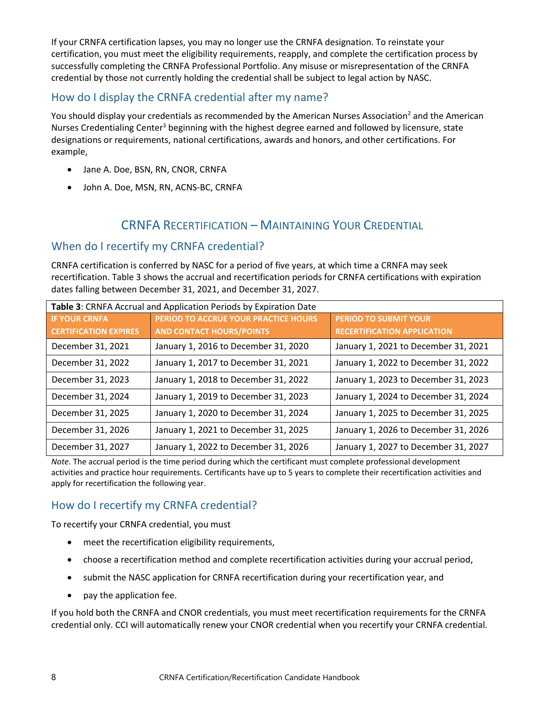If your CRNFA certification lapses, you may no longer use the CRNFA designation. To reinstate your certification, you must meet the eligibility requirements, reapply, and complete the certification process by successfully completing the CRNFA Professional Portfolio. Any misuse or misrepresentation of the CRNFA credential by those not currently holding the credential shall be subject to legal action by NASC.

# <span id="page-11-0"></span>How do I display the CRNFA credential after my name?

You should display your credentials as recommended by the American Nurses Association<sup>2</sup> and the American Nurses Credentialing Center<sup>3</sup> beginning with the highest degree earned and followed by licensure, state designations or requirements, national certifications, awards and honors, and other certifications. For example,

- Jane A. Doe, BSN, RN, CNOR, CRNFA
- John A. Doe, MSN, RN, ACNS-BC, CRNFA

# CRNFA RECERTIFICATION – MAINTAINING YOUR CREDENTIAL

## <span id="page-11-1"></span>When do I recertify my CRNFA credential?

CRNFA certification is conferred by NASC for a period of five years, at which time a CRNFA may seek recertification. Table 3 shows the accrual and recertification periods for CRNFA certifications with expiration dates falling between December 31, 2021, and December 31, 2027.

| Table 3: CRNFA Accrual and Application Periods by Expiration Date |                                      |                                      |
|-------------------------------------------------------------------|--------------------------------------|--------------------------------------|
| <b>IF YOUR CRNFA</b>                                              | PERIOD TO ACCRUE YOUR PRACTICE HOURS | <b>PERIOD TO SUBMIT YOUR</b>         |
| <b>CERTIFICATION EXPIRES</b>                                      | <b>AND CONTACT HOURS/POINTS</b>      | <b>RECERTIFICATION APPLICATION</b>   |
| December 31, 2021                                                 | January 1, 2016 to December 31, 2020 | January 1, 2021 to December 31, 2021 |
| December 31, 2022                                                 | January 1, 2017 to December 31, 2021 | January 1, 2022 to December 31, 2022 |
| December 31, 2023                                                 | January 1, 2018 to December 31, 2022 | January 1, 2023 to December 31, 2023 |
| December 31, 2024                                                 | January 1, 2019 to December 31, 2023 | January 1, 2024 to December 31, 2024 |
| December 31, 2025                                                 | January 1, 2020 to December 31, 2024 | January 1, 2025 to December 31, 2025 |
| December 31, 2026                                                 | January 1, 2021 to December 31, 2025 | January 1, 2026 to December 31, 2026 |
| December 31, 2027                                                 | January 1, 2022 to December 31, 2026 | January 1, 2027 to December 31, 2027 |

*Note.* The accrual period is the time period during which the certificant must complete professional development activities and practice hour requirements. Certificants have up to 5 years to complete their recertification activities and apply for recertification the following year.

# <span id="page-11-2"></span>How do I recertify my CRNFA credential?

To recertify your CRNFA credential, you must

- meet the recertification eligibility requirements,
- choose a recertification method and complete recertification activities during your accrual period,
- submit the NASC application for CRNFA recertification during your recertification year, and
- pay the application fee.

If you hold both the CRNFA and CNOR credentials, you must meet recertification requirements for the CRNFA credential only. CCI will automatically renew your CNOR credential when you recertify your CRNFA credential.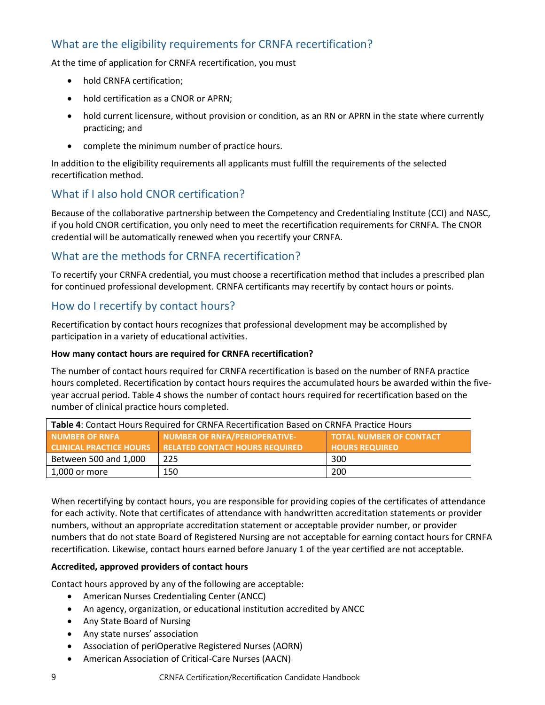# <span id="page-12-0"></span>What are the eligibility requirements for CRNFA recertification?

At the time of application for CRNFA recertification, you must

- hold CRNFA certification;
- hold certification as a CNOR or APRN;
- hold current licensure, without provision or condition, as an RN or APRN in the state where currently practicing; and
- complete the minimum number of practice hours.

In addition to the eligibility requirements all applicants must fulfill the requirements of the selected recertification method.

# <span id="page-12-1"></span>What if I also hold CNOR certification?

Because of the collaborative partnership between the Competency and Credentialing Institute (CCI) and NASC, if you hold CNOR certification, you only need to meet the recertification requirements for CRNFA. The CNOR credential will be automatically renewed when you recertify your CRNFA.

# <span id="page-12-2"></span>What are the methods for CRNFA recertification?

To recertify your CRNFA credential, you must choose a recertification method that includes a prescribed plan for continued professional development. CRNFA certificants may recertify by contact hours or points.

## <span id="page-12-3"></span>How do I recertify by contact hours?

Recertification by contact hours recognizes that professional development may be accomplished by participation in a variety of educational activities.

### <span id="page-12-4"></span>**How many contact hours are required for CRNFA recertification?**

The number of contact hours required for CRNFA recertification is based on the number of RNFA practice hours completed. Recertification by contact hours requires the accumulated hours be awarded within the fiveyear accrual period. Table 4 shows the number of contact hours required for recertification based on the number of clinical practice hours completed.

| Table 4: Contact Hours Required for CRNFA Recertification Based on CRNFA Practice Hours |                                       |                                |
|-----------------------------------------------------------------------------------------|---------------------------------------|--------------------------------|
| <b>NUMBER OF RNFA</b>                                                                   | NUMBER OF RNFA/PERIOPERATIVE-         | <b>TOTAL NUMBER OF CONTACT</b> |
| <b>CLINICAL PRACTICE HOURS</b>                                                          | <b>RELATED CONTACT HOURS REQUIRED</b> | <b>HOURS REQUIRED</b>          |
| Between 500 and 1,000                                                                   | 225                                   | 300                            |
| 1,000 or more                                                                           | 150                                   | 200                            |

When recertifying by contact hours, you are responsible for providing copies of the certificates of attendance for each activity. Note that certificates of attendance with handwritten accreditation statements or provider numbers, without an appropriate accreditation statement or acceptable provider number, or provider numbers that do not state Board of Registered Nursing are not acceptable for earning contact hours for CRNFA recertification. Likewise, contact hours earned before January 1 of the year certified are not acceptable.

### <span id="page-12-5"></span>**Accredited, approved providers of contact hours**

Contact hours approved by any of the following are acceptable:

- American Nurses Credentialing Center (ANCC)
- An agency, organization, or educational institution accredited by ANCC
- Any State Board of Nursing
- Any state nurses' association
- Association of periOperative Registered Nurses (AORN)
- American Association of Critical-Care Nurses (AACN)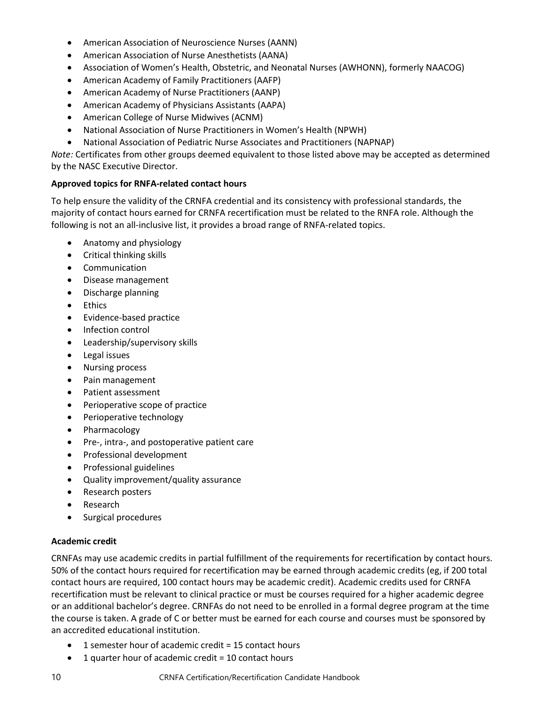- American Association of Neuroscience Nurses (AANN)
- American Association of Nurse Anesthetists (AANA)
- Association of Women's Health, Obstetric, and Neonatal Nurses (AWHONN), formerly NAACOG)
- American Academy of Family Practitioners (AAFP)
- American Academy of Nurse Practitioners (AANP)
- American Academy of Physicians Assistants (AAPA)
- American College of Nurse Midwives (ACNM)
- National Association of Nurse Practitioners in Women's Health (NPWH)
- National Association of Pediatric Nurse Associates and Practitioners (NAPNAP)

*Note:* Certificates from other groups deemed equivalent to those listed above may be accepted as determined by the NASC Executive Director.

### <span id="page-13-0"></span>**Approved topics for RNFA-related contact hours**

To help ensure the validity of the CRNFA credential and its consistency with professional standards, the majority of contact hours earned for CRNFA recertification must be related to the RNFA role. Although the following is not an all-inclusive list, it provides a broad range of RNFA-related topics.

- Anatomy and physiology
- Critical thinking skills
- Communication
- Disease management
- Discharge planning
- Ethics
- Evidence-based practice
- Infection control
- Leadership/supervisory skills
- Legal issues
- Nursing process
- Pain management
- Patient assessment
- Perioperative scope of practice
- Perioperative technology
- Pharmacology
- Pre-, intra-, and postoperative patient care
- Professional development
- Professional guidelines
- Quality improvement/quality assurance
- Research posters
- Research
- Surgical procedures

### <span id="page-13-1"></span>**Academic credit**

CRNFAs may use academic credits in partial fulfillment of the requirements for recertification by contact hours. 50% of the contact hours required for recertification may be earned through academic credits (eg, if 200 total contact hours are required, 100 contact hours may be academic credit). Academic credits used for CRNFA recertification must be relevant to clinical practice or must be courses required for a higher academic degree or an additional bachelor's degree. CRNFAs do not need to be enrolled in a formal degree program at the time the course is taken. A grade of C or better must be earned for each course and courses must be sponsored by an accredited educational institution.

- 1 semester hour of academic credit = 15 contact hours
- $\bullet$  1 quarter hour of academic credit = 10 contact hours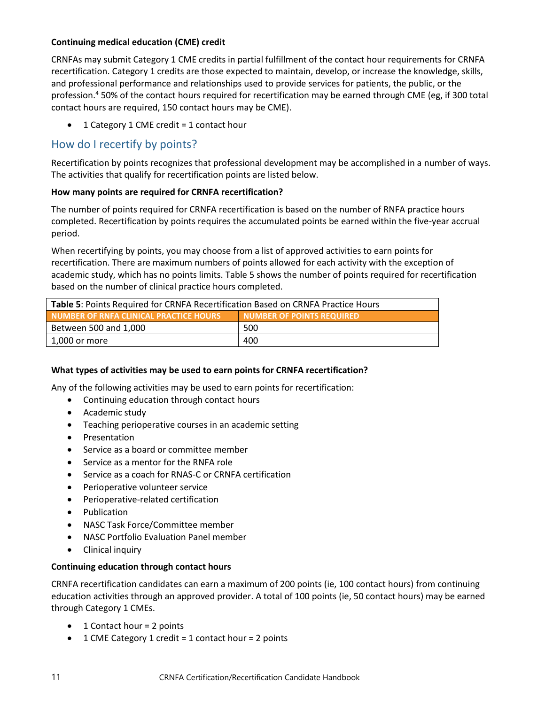### <span id="page-14-0"></span>**Continuing medical education (CME) credit**

CRNFAs may submit Category 1 CME credits in partial fulfillment of the contact hour requirements for CRNFA recertification. Category 1 credits are those expected to maintain, develop, or increase the knowledge, skills, and professional performance and relationships used to provide services for patients, the public, or the profession.<sup>4</sup> 50% of the contact hours required for recertification may be earned through CME (eg, if 300 total contact hours are required, 150 contact hours may be CME).

• 1 Category 1 CME credit = 1 contact hour

### <span id="page-14-1"></span>How do I recertify by points?

Recertification by points recognizes that professional development may be accomplished in a number of ways. The activities that qualify for recertification points are listed below.

### <span id="page-14-2"></span>**How many points are required for CRNFA recertification?**

The number of points required for CRNFA recertification is based on the number of RNFA practice hours completed. Recertification by points requires the accumulated points be earned within the five-year accrual period.

When recertifying by points, you may choose from a list of approved activities to earn points for recertification. There are maximum numbers of points allowed for each activity with the exception of academic study, which has no points limits. Table 5 shows the number of points required for recertification based on the number of clinical practice hours completed.

| <b>Table 5:</b> Points Required for CRNFA Recertification Based on CRNFA Practice Hours |     |  |
|-----------------------------------------------------------------------------------------|-----|--|
| <b>NUMBER OF POINTS REQUIRED</b><br>NUMBER OF RNFA CLINICAL PRACTICE HOURS              |     |  |
| Between 500 and 1,000                                                                   | 500 |  |
| 400<br>1,000 or more                                                                    |     |  |

### <span id="page-14-3"></span>**What types of activities may be used to earn points for CRNFA recertification?**

Any of the following activities may be used to earn points for recertification:

- Continuing education through contact hours
- Academic study
- Teaching perioperative courses in an academic setting
- Presentation
- Service as a board or committee member
- Service as a mentor for the RNFA role
- Service as a coach for RNAS-C or CRNFA certification
- Perioperative volunteer service
- Perioperative-related certification
- Publication
- NASC Task Force/Committee member
- NASC Portfolio Evaluation Panel member
- Clinical inquiry

### <span id="page-14-4"></span>**Continuing education through contact hours**

CRNFA recertification candidates can earn a maximum of 200 points (ie, 100 contact hours) from continuing education activities through an approved provider. A total of 100 points (ie, 50 contact hours) may be earned through Category 1 CMEs.

- 1 Contact hour = 2 points
- 1 CME Category 1 credit = 1 contact hour = 2 points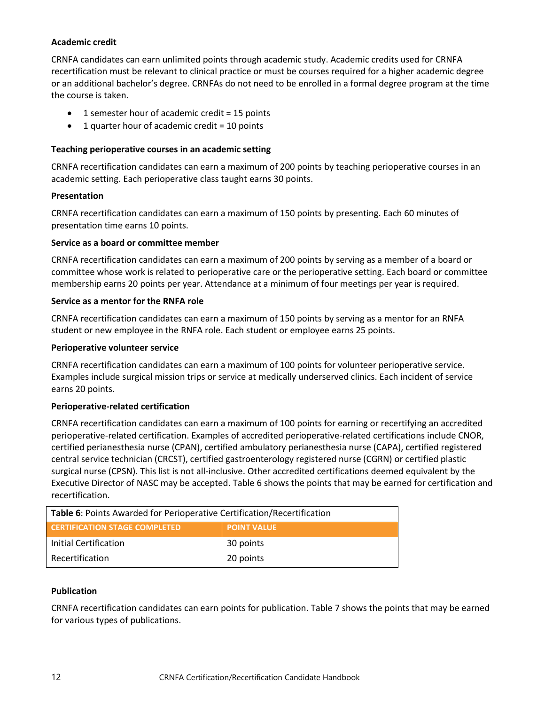### <span id="page-15-0"></span>**Academic credit**

CRNFA candidates can earn unlimited points through academic study. Academic credits used for CRNFA recertification must be relevant to clinical practice or must be courses required for a higher academic degree or an additional bachelor's degree. CRNFAs do not need to be enrolled in a formal degree program at the time the course is taken.

- 1 semester hour of academic credit = 15 points
- 1 quarter hour of academic credit = 10 points

### <span id="page-15-1"></span>**Teaching perioperative courses in an academic setting**

CRNFA recertification candidates can earn a maximum of 200 points by teaching perioperative courses in an academic setting. Each perioperative class taught earns 30 points.

### <span id="page-15-2"></span>**Presentation**

CRNFA recertification candidates can earn a maximum of 150 points by presenting. Each 60 minutes of presentation time earns 10 points.

#### <span id="page-15-3"></span>**Service as a board or committee member**

CRNFA recertification candidates can earn a maximum of 200 points by serving as a member of a board or committee whose work is related to perioperative care or the perioperative setting. Each board or committee membership earns 20 points per year. Attendance at a minimum of four meetings per year is required.

#### <span id="page-15-4"></span>**Service as a mentor for the RNFA role**

CRNFA recertification candidates can earn a maximum of 150 points by serving as a mentor for an RNFA student or new employee in the RNFA role. Each student or employee earns 25 points.

#### <span id="page-15-5"></span>**Perioperative volunteer service**

CRNFA recertification candidates can earn a maximum of 100 points for volunteer perioperative service. Examples include surgical mission trips or service at medically underserved clinics. Each incident of service earns 20 points.

#### <span id="page-15-6"></span>**Perioperative-related certification**

CRNFA recertification candidates can earn a maximum of 100 points for earning or recertifying an accredited perioperative-related certification. Examples of accredited perioperative-related certifications include CNOR, certified perianesthesia nurse (CPAN), certified ambulatory perianesthesia nurse (CAPA), certified registered central service technician (CRCST), certified gastroenterology registered nurse (CGRN) or certified plastic surgical nurse (CPSN). This list is not all-inclusive. Other accredited certifications deemed equivalent by the Executive Director of NASC may be accepted. Table 6 shows the points that may be earned for certification and recertification.

| Table 6: Points Awarded for Perioperative Certification/Recertification |                    |  |
|-------------------------------------------------------------------------|--------------------|--|
| <b>CERTIFICATION STAGE COMPLETED</b>                                    | <b>POINT VALUE</b> |  |
| Initial Certification                                                   | 30 points          |  |
| Recertification                                                         | 20 points          |  |

#### <span id="page-15-7"></span>**Publication**

CRNFA recertification candidates can earn points for publication. Table 7 shows the points that may be earned for various types of publications.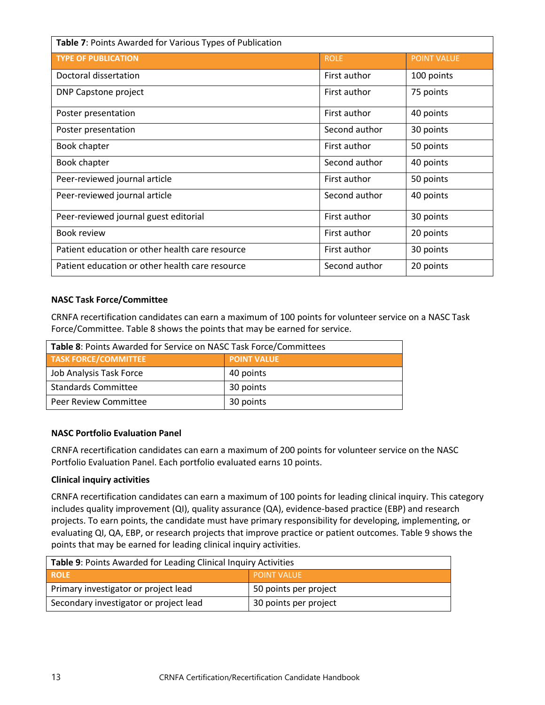| Table 7: Points Awarded for Various Types of Publication |               |                    |  |
|----------------------------------------------------------|---------------|--------------------|--|
| <b>TYPE OF PUBLICATION</b>                               | <b>ROLE</b>   | <b>POINT VALUE</b> |  |
| Doctoral dissertation                                    | First author  | 100 points         |  |
| DNP Capstone project                                     | First author  | 75 points          |  |
| Poster presentation                                      | First author  | 40 points          |  |
| Poster presentation                                      | Second author | 30 points          |  |
| Book chapter                                             | First author  | 50 points          |  |
| Book chapter                                             | Second author | 40 points          |  |
| Peer-reviewed journal article                            | First author  | 50 points          |  |
| Peer-reviewed journal article                            | Second author | 40 points          |  |
| Peer-reviewed journal guest editorial                    | First author  | 30 points          |  |
| Book review                                              | First author  | 20 points          |  |
| Patient education or other health care resource          | First author  | 30 points          |  |
| Patient education or other health care resource          | Second author | 20 points          |  |

#### <span id="page-16-0"></span>**NASC Task Force/Committee**

CRNFA recertification candidates can earn a maximum of 100 points for volunteer service on a NASC Task Force/Committee. Table 8 shows the points that may be earned for service.

| Table 8: Points Awarded for Service on NASC Task Force/Committees |                    |  |
|-------------------------------------------------------------------|--------------------|--|
| <b>TASK FORCE/COMMITTEE</b>                                       | <b>POINT VALUE</b> |  |
| Job Analysis Task Force                                           | 40 points          |  |
| <b>Standards Committee</b>                                        | 30 points          |  |
| <b>Peer Review Committee</b>                                      | 30 points          |  |

### <span id="page-16-1"></span>**NASC Portfolio Evaluation Panel**

CRNFA recertification candidates can earn a maximum of 200 points for volunteer service on the NASC Portfolio Evaluation Panel. Each portfolio evaluated earns 10 points.

### <span id="page-16-2"></span>**Clinical inquiry activities**

CRNFA recertification candidates can earn a maximum of 100 points for leading clinical inquiry. This category includes quality improvement (QI), quality assurance (QA), evidence-based practice (EBP) and research projects. To earn points, the candidate must have primary responsibility for developing, implementing, or evaluating QI, QA, EBP, or research projects that improve practice or patient outcomes. Table 9 shows the points that may be earned for leading clinical inquiry activities.

| Table 9: Points Awarded for Leading Clinical Inquiry Activities |                       |  |
|-----------------------------------------------------------------|-----------------------|--|
| <b>ROLE</b>                                                     | <b>POINT VALUE</b>    |  |
| Primary investigator or project lead                            | 50 points per project |  |
| Secondary investigator or project lead                          | 30 points per project |  |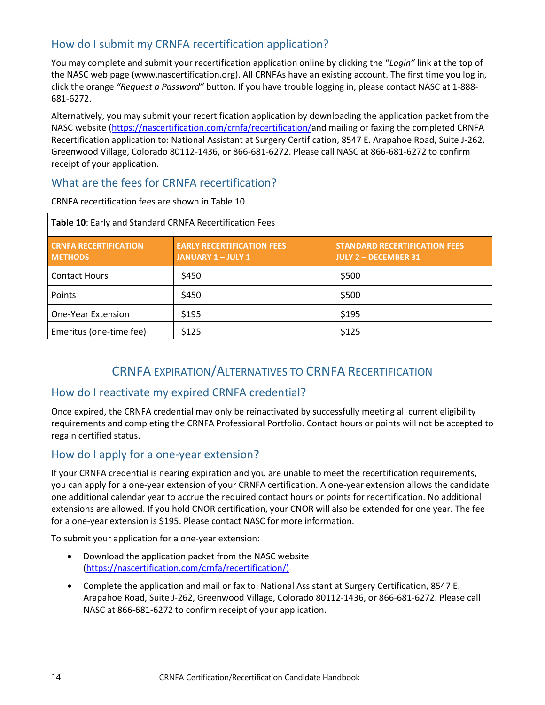# <span id="page-17-0"></span>How do I submit my CRNFA recertification application?

You may complete and submit your recertification application online by clicking the "*Login"* link at the top of the NASC web page (www.nascertification.org). All CRNFAs have an existing account. The first time you log in, click the orange *"Request a Password"* button. If you have trouble logging in, please contact NASC at 1-888- 681-6272.

Alternatively, you may submit your recertification application by downloading the application packet from the NASC website [\(https://nascertification.com/crnfa/recertification/a](https://nascertification.com/crnfa/recertification/)nd mailing or faxing the completed CRNFA Recertification application to: National Assistant at Surgery Certification, 8547 E. Arapahoe Road, Suite J-262, Greenwood Village, Colorado 80112-1436, or 866-681-6272. Please call NASC at 866-681-6272 to confirm receipt of your application.

## <span id="page-17-1"></span>What are the fees for CRNFA recertification?

CRNFA recertification fees are shown in Table 10.

| Table 10: Early and Standard CRNFA Recertification Fees |                                                              |                                                                     |  |
|---------------------------------------------------------|--------------------------------------------------------------|---------------------------------------------------------------------|--|
| <b>CRNEA RECERTIFICATION</b><br><b>METHODS</b>          | <b>EARLY RECERTIFICATION FEES</b><br><b>JANUARY 1-JULY 1</b> | <b>STANDARD RECERTIFICATION FEES</b><br><b>JULY 2 - DECEMBER 31</b> |  |
| <b>Contact Hours</b>                                    | \$450                                                        | \$500                                                               |  |
| Points                                                  | \$450                                                        | \$500                                                               |  |
| <b>One-Year Extension</b>                               | \$195                                                        | \$195                                                               |  |
| Emeritus (one-time fee)                                 | \$125                                                        | \$125                                                               |  |

# CRNFA EXPIRATION/ALTERNATIVES TO CRNFA RECERTIFICATION

## <span id="page-17-2"></span>How do I reactivate my expired CRNFA credential?

Once expired, the CRNFA credential may only be reinactivated by successfully meeting all current eligibility requirements and completing the CRNFA Professional Portfolio. Contact hours or points will not be accepted to regain certified status.

## <span id="page-17-3"></span>How do I apply for a one-year extension?

If your CRNFA credential is nearing expiration and you are unable to meet the recertification requirements, you can apply for a one-year extension of your CRNFA certification. A one-year extension allows the candidate one additional calendar year to accrue the required contact hours or points for recertification. No additional extensions are allowed. If you hold CNOR certification, your CNOR will also be extended for one year. The fee for a one-year extension is \$195. Please contact NASC for more information.

To submit your application for a one-year extension:

- Download the application packet from the NASC website [\(https://nascertification.com/crnfa/recertification/\)](https://nascertification.com/crnfa/recertification/))
- Complete the application and mail or fax to: National Assistant at Surgery Certification, 8547 E. Arapahoe Road, Suite J-262, Greenwood Village, Colorado 80112-1436, or 866-681-6272. Please call NASC at 866-681-6272 to confirm receipt of your application.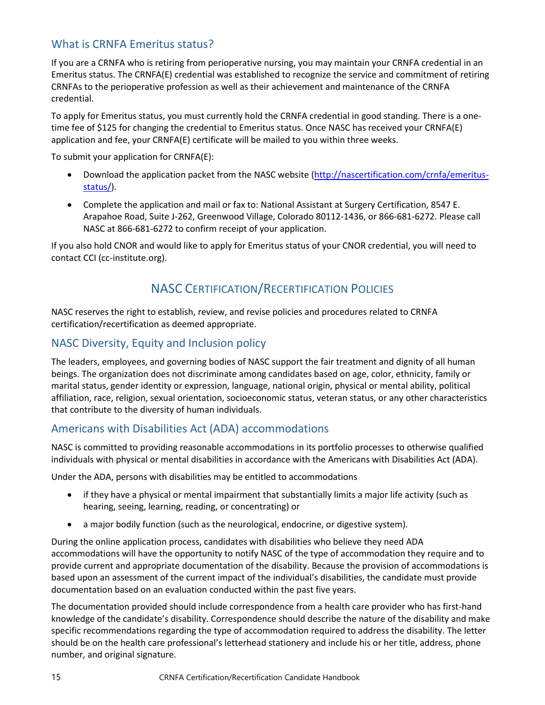# <span id="page-18-0"></span>What is CRNFA Emeritus status?

If you are a CRNFA who is retiring from perioperative nursing, you may maintain your CRNFA credential in an Emeritus status. The CRNFA(E) credential was established to recognize the service and commitment of retiring CRNFAs to the perioperative profession as well as their achievement and maintenance of the CRNFA credential.

To apply for Emeritus status, you must currently hold the CRNFA credential in good standing. There is a onetime fee of \$125 for changing the credential to Emeritus status. Once NASC has received your CRNFA(E) application and fee, your CRNFA(E) certificate will be mailed to you within three weeks.

To submit your application for CRNFA(E):

- Download the application packet from the NASC website [\(http://nascertification.com/crnfa/emeritus](http://nascertification.com/crnfa/emeritus-status/)[status/\)](http://nascertification.com/crnfa/emeritus-status/).
- Complete the application and mail or fax to: National Assistant at Surgery Certification, 8547 E. Arapahoe Road, Suite J-262, Greenwood Village, Colorado 80112-1436, or 866-681-6272. Please call NASC at 866-681-6272 to confirm receipt of your application.

<span id="page-18-1"></span>If you also hold CNOR and would like to apply for Emeritus status of your CNOR credential, you will need to contact CCI (cc-institute.org).

# NASC CERTIFICATION/RECERTIFICATION POLICIES

NASC reserves the right to establish, review, and revise policies and procedures related to CRNFA certification/recertification as deemed appropriate.

## <span id="page-18-2"></span>NASC Diversity, Equity and Inclusion policy

The leaders, employees, and governing bodies of NASC support the fair treatment and dignity of all human beings. The organization does not discriminate among candidates based on age, color, ethnicity, family or marital status, gender identity or expression, language, national origin, physical or mental ability, political affiliation, race, religion, sexual orientation, socioeconomic status, veteran status, or any other characteristics that contribute to the diversity of human individuals.

## <span id="page-18-3"></span>Americans with Disabilities Act (ADA) accommodations

NASC is committed to providing reasonable accommodations in its portfolio processes to otherwise qualified individuals with physical or mental disabilities in accordance with the Americans with Disabilities Act (ADA).

Under the ADA, persons with disabilities may be entitled to accommodations

- if they have a physical or mental impairment that substantially limits a major life activity (such as hearing, seeing, learning, reading, or concentrating) or
- a major bodily function (such as the neurological, endocrine, or digestive system).

During the online application process, candidates with disabilities who believe they need ADA accommodations will have the opportunity to notify NASC of the type of accommodation they require and to provide current and appropriate documentation of the disability. Because the provision of accommodations is based upon an assessment of the current impact of the individual's disabilities, the candidate must provide documentation based on an evaluation conducted within the past five years.

The documentation provided should include correspondence from a health care provider who has first-hand knowledge of the candidate's disability. Correspondence should describe the nature of the disability and make specific recommendations regarding the type of accommodation required to address the disability. The letter should be on the health care professional's letterhead stationery and include his or her title, address, phone number, and original signature.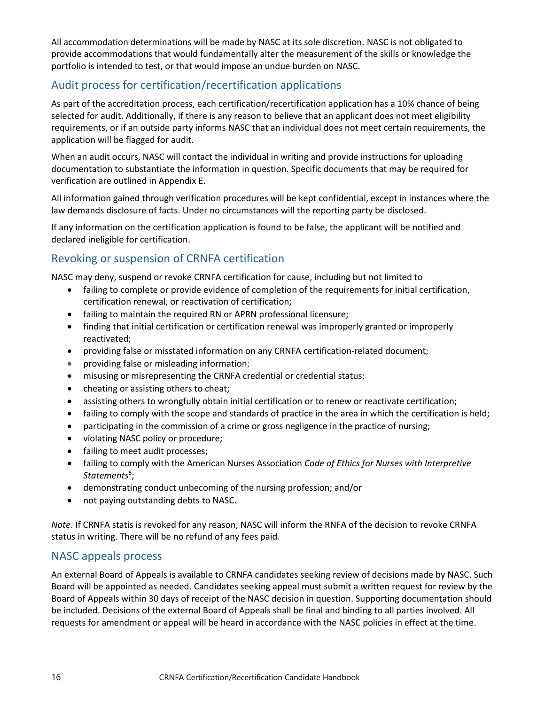All accommodation determinations will be made by NASC at its sole discretion. NASC is not obligated to provide accommodations that would fundamentally alter the measurement of the skills or knowledge the portfolio is intended to test, or that would impose an undue burden on NASC.

# <span id="page-19-0"></span>Audit process for certification/recertification applications

As part of the accreditation process, each certification/recertification application has a 10% chance of being selected for audit. Additionally, if there is any reason to believe that an applicant does not meet eligibility requirements, or if an outside party informs NASC that an individual does not meet certain requirements, the application will be flagged for audit.

When an audit occurs, NASC will contact the individual in writing and provide instructions for uploading documentation to substantiate the information in question. Specific documents that may be required for verification are outlined in Appendix E.

All information gained through verification procedures will be kept confidential, except in instances where the law demands disclosure of facts. Under no circumstances will the reporting party be disclosed.

If any information on the certification application is found to be false, the applicant will be notified and declared ineligible for certification.

# <span id="page-19-1"></span>Revoking or suspension of CRNFA certification

NASC may deny, suspend or revoke CRNFA certification for cause, including but not limited to

- failing to complete or provide evidence of completion of the requirements for initial certification, certification renewal, or reactivation of certification;
- failing to maintain the required RN or APRN professional licensure;
- finding that initial certification or certification renewal was improperly granted or improperly reactivated;
- providing false or misstated information on any CRNFA certification-related document;
- providing false or misleading information;
- misusing or misrepresenting the CRNFA credential or credential status;
- cheating or assisting others to cheat;
- assisting others to wrongfully obtain initial certification or to renew or reactivate certification;
- failing to comply with the scope and standards of practice in the area in which the certification is held;
- participating in the commission of a crime or gross negligence in the practice of nursing;
- violating NASC policy or procedure;
- failing to meet audit processes;
- failing to comply with the American Nurses Association *Code of Ethics for Nurses with Interpretive* Statements<sup>5</sup>;
- demonstrating conduct unbecoming of the nursing profession; and/or
- not paying outstanding debts to NASC.

*Note*. If CRNFA statis is revoked for any reason, NASC will inform the RNFA of the decision to revoke CRNFA status in writing. There will be no refund of any fees paid.

### <span id="page-19-2"></span>NASC appeals process

An external Board of Appeals is available to CRNFA candidates seeking review of decisions made by NASC. Such Board will be appointed as needed. Candidates seeking appeal must submit a written request for review by the Board of Appeals within 30 days of receipt of the NASC decision in question. Supporting documentation should be included. Decisions of the external Board of Appeals shall be final and binding to all parties involved. All requests for amendment or appeal will be heard in accordance with the NASC policies in effect at the time.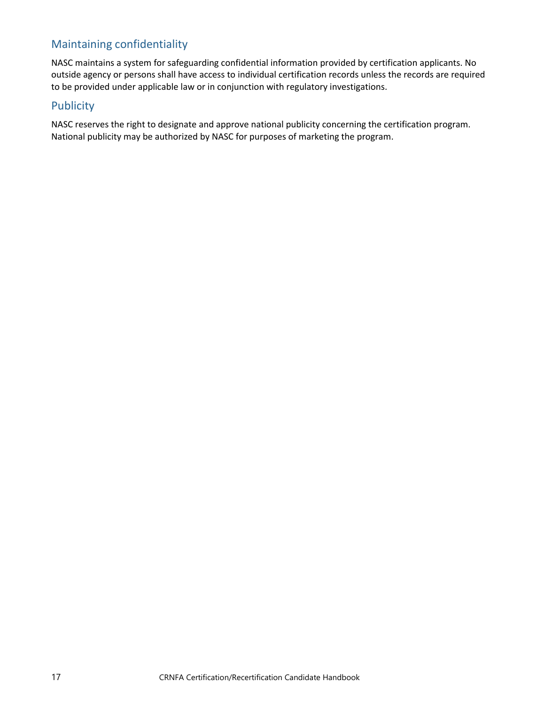# <span id="page-20-0"></span>Maintaining confidentiality

NASC maintains a system for safeguarding confidential information provided by certification applicants. No outside agency or persons shall have access to individual certification records unless the records are required to be provided under applicable law or in conjunction with regulatory investigations.

### <span id="page-20-1"></span>Publicity

NASC reserves the right to designate and approve national publicity concerning the certification program. National publicity may be authorized by NASC for purposes of marketing the program.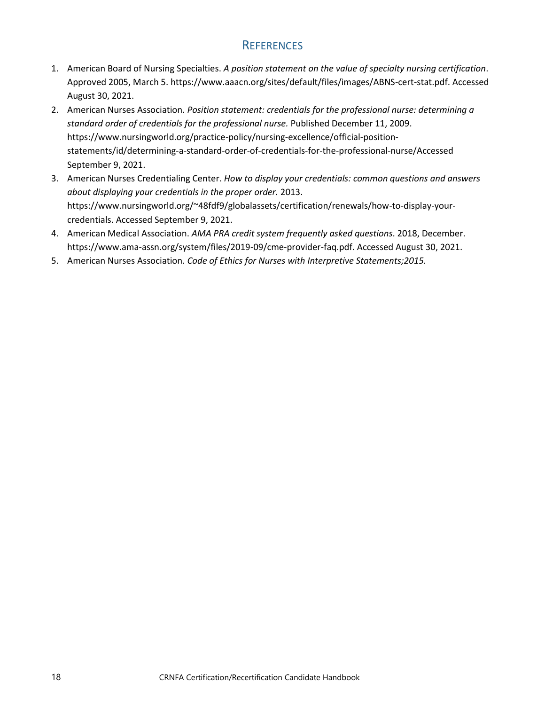# **REFERENCES**

- <span id="page-21-0"></span>1. American Board of Nursing Specialties. *A position statement on the value of specialty nursing certification*. Approved 2005, March 5[. https://www.aaacn.org/sites/default/files/images/ABNS-cert-stat.pdf.](https://www.aaacn.org/sites/default/files/images/ABNS-cert-stat.pdf) Accessed August 30, 2021.
- 2. American Nurses Association. *Position statement: credentials for the professional nurse: determining a standard order of credentials for the professional nurse.* Published December 11, 2009. [https://www.nursingworld.org/practice-policy/nursing-excellence/official-position](https://www.nursingworld.org/practice-policy/nursing-excellence/official-position-statements/id/determining-a-standard-order-of-credentials-for-the-professional-nurse/)[statements/id/determining-a-standard-order-of-credentials-for-the-professional-nurse/A](https://www.nursingworld.org/practice-policy/nursing-excellence/official-position-statements/id/determining-a-standard-order-of-credentials-for-the-professional-nurse/)ccessed September 9, 2021.
- 3. American Nurses Credentialing Center. *How to display your credentials: common questions and answers about displaying your credentials in the proper order.* 2013. [https://www.nursingworld.org/~48fdf9/globalassets/certification/renewals/how-to-display-your](https://www.nursingworld.org/~48fdf9/globalassets/certification/renewals/how-to-display-your-credentials)[credentials.](https://www.nursingworld.org/~48fdf9/globalassets/certification/renewals/how-to-display-your-credentials) Accessed September 9, 2021.
- 4. American Medical Association. *AMA PRA credit system frequently asked questions*. 2018, December. [https://www.ama-assn.org/system/files/2019-09/cme-provider-faq.pdf.](https://www.ama-assn.org/system/files/2019-09/cme-provider-faq.pdf) Accessed August 30, 2021.
- 5. American Nurses Association. *Code of Ethics for Nurses with Interpretive Statements;2015.*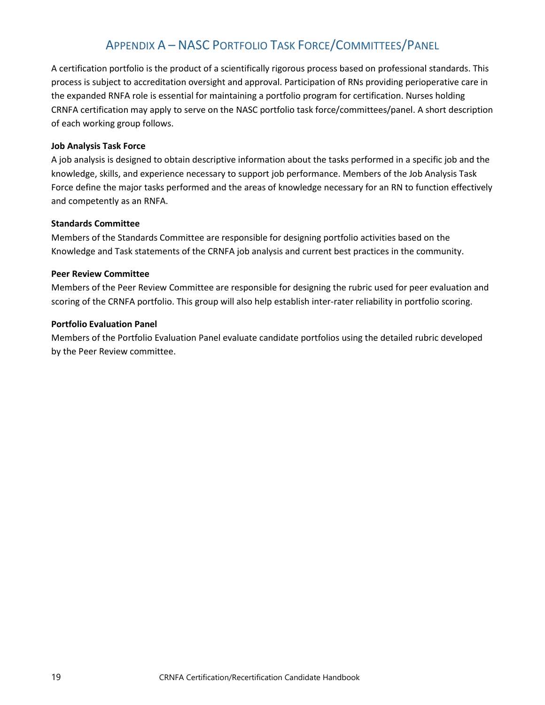# APPENDIX A – NASC PORTFOLIO TASK FORCE/COMMITTEES/PANEL

<span id="page-22-0"></span>A certification portfolio is the product of a scientifically rigorous process based on professional standards. This process is subject to accreditation oversight and approval. Participation of RNs providing perioperative care in the expanded RNFA role is essential for maintaining a portfolio program for certification. Nurses holding CRNFA certification may apply to serve on the NASC portfolio task force/committees/panel. A short description of each working group follows.

### **Job Analysis Task Force**

A job analysis is designed to obtain descriptive information about the tasks performed in a specific job and the knowledge, skills, and experience necessary to support job performance. Members of the Job Analysis Task Force define the major tasks performed and the areas of knowledge necessary for an RN to function effectively and competently as an RNFA.

#### **Standards Committee**

Members of the Standards Committee are responsible for designing portfolio activities based on the Knowledge and Task statements of the CRNFA job analysis and current best practices in the community.

### **Peer Review Committee**

Members of the Peer Review Committee are responsible for designing the rubric used for peer evaluation and scoring of the CRNFA portfolio. This group will also help establish inter-rater reliability in portfolio scoring.

#### **Portfolio Evaluation Panel**

Members of the Portfolio Evaluation Panel evaluate candidate portfolios using the detailed rubric developed by the Peer Review committee.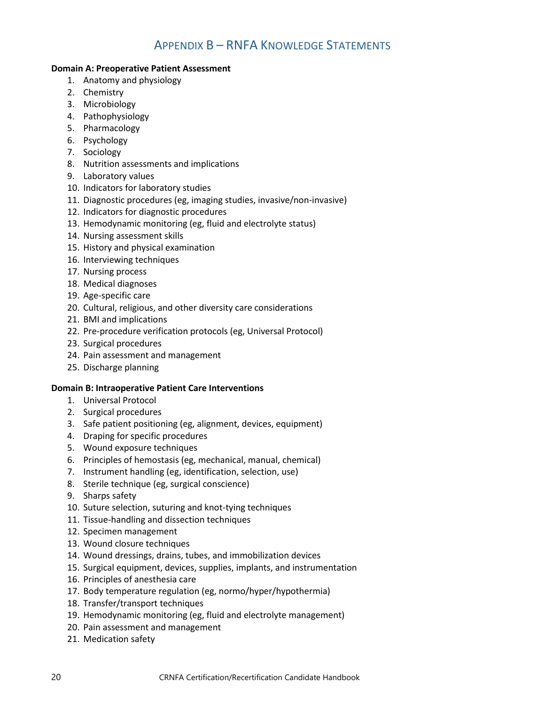# APPENDIX B – RNFA KNOWLEDGE STATEMENTS

### <span id="page-23-0"></span>**Domain A: Preoperative Patient Assessment**

- 1. Anatomy and physiology
- 2. Chemistry
- 3. Microbiology
- 4. Pathophysiology
- 5. Pharmacology
- 6. Psychology
- 7. Sociology
- 8. Nutrition assessments and implications
- 9. Laboratory values
- 10. Indicators for laboratory studies
- 11. Diagnostic procedures (eg, imaging studies, invasive/non-invasive)
- 12. Indicators for diagnostic procedures
- 13. Hemodynamic monitoring (eg, fluid and electrolyte status)
- 14. Nursing assessment skills
- 15. History and physical examination
- 16. Interviewing techniques
- 17. Nursing process
- 18. Medical diagnoses
- 19. Age-specific care
- 20. Cultural, religious, and other diversity care considerations
- 21. BMI and implications
- 22. Pre-procedure verification protocols (eg, Universal Protocol)
- 23. Surgical procedures
- 24. Pain assessment and management
- 25. Discharge planning

### **Domain B: Intraoperative Patient Care Interventions**

- 1. Universal Protocol
- 2. Surgical procedures
- 3. Safe patient positioning (eg, alignment, devices, equipment)
- 4. Draping for specific procedures
- 5. Wound exposure techniques
- 6. Principles of hemostasis (eg, mechanical, manual, chemical)
- 7. Instrument handling (eg, identification, selection, use)
- 8. Sterile technique (eg, surgical conscience)
- 9. Sharps safety
- 10. Suture selection, suturing and knot-tying techniques
- 11. Tissue-handling and dissection techniques
- 12. Specimen management
- 13. Wound closure techniques
- 14. Wound dressings, drains, tubes, and immobilization devices
- 15. Surgical equipment, devices, supplies, implants, and instrumentation
- 16. Principles of anesthesia care
- 17. Body temperature regulation (eg, normo/hyper/hypothermia)
- 18. Transfer/transport techniques
- 19. Hemodynamic monitoring (eg, fluid and electrolyte management)
- 20. Pain assessment and management
- 21. Medication safety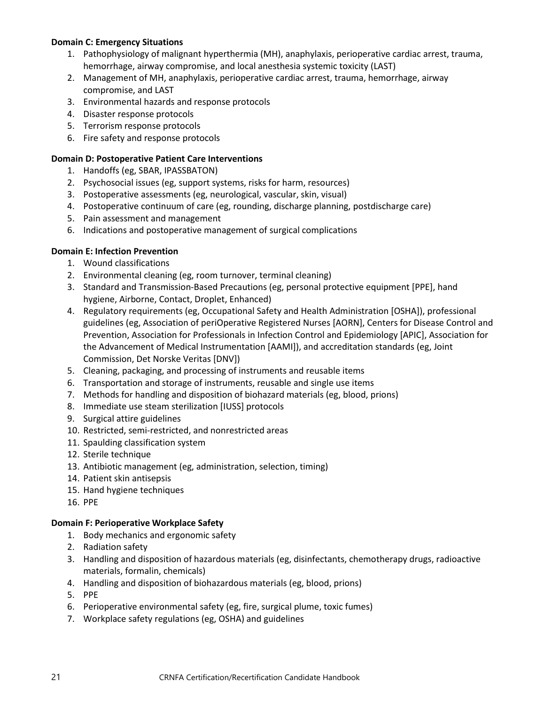### **Domain C: Emergency Situations**

- 1. Pathophysiology of malignant hyperthermia (MH), anaphylaxis, perioperative cardiac arrest, trauma, hemorrhage, airway compromise, and local anesthesia systemic toxicity (LAST)
- 2. Management of MH, anaphylaxis, perioperative cardiac arrest, trauma, hemorrhage, airway compromise, and LAST
- 3. Environmental hazards and response protocols
- 4. Disaster response protocols
- 5. Terrorism response protocols
- 6. Fire safety and response protocols

### **Domain D: Postoperative Patient Care Interventions**

- 1. Handoffs (eg, SBAR, IPASSBATON)
- 2. Psychosocial issues (eg, support systems, risks for harm, resources)
- 3. Postoperative assessments (eg, neurological, vascular, skin, visual)
- 4. Postoperative continuum of care (eg, rounding, discharge planning, postdischarge care)
- 5. Pain assessment and management
- 6. Indications and postoperative management of surgical complications

### **Domain E: Infection Prevention**

- 1. Wound classifications
- 2. Environmental cleaning (eg, room turnover, terminal cleaning)
- 3. Standard and Transmission-Based Precautions (eg, personal protective equipment [PPE], hand hygiene, Airborne, Contact, Droplet, Enhanced)
- 4. Regulatory requirements (eg, Occupational Safety and Health Administration [OSHA]), professional guidelines (eg, Association of periOperative Registered Nurses [AORN], Centers for Disease Control and Prevention, Association for Professionals in Infection Control and Epidemiology [APIC], Association for the Advancement of Medical Instrumentation [AAMI]), and accreditation standards (eg, Joint Commission, Det Norske Veritas [DNV])
- 5. Cleaning, packaging, and processing of instruments and reusable items
- 6. Transportation and storage of instruments, reusable and single use items
- 7. Methods for handling and disposition of biohazard materials (eg, blood, prions)
- 8. Immediate use steam sterilization [IUSS] protocols
- 9. Surgical attire guidelines
- 10. Restricted, semi-restricted, and nonrestricted areas
- 11. Spaulding classification system
- 12. Sterile technique
- 13. Antibiotic management (eg, administration, selection, timing)
- 14. Patient skin antisepsis
- 15. Hand hygiene techniques
- 16. PPE

### **Domain F: Perioperative Workplace Safety**

- 1. Body mechanics and ergonomic safety
- 2. Radiation safety
- 3. Handling and disposition of hazardous materials (eg, disinfectants, chemotherapy drugs, radioactive materials, formalin, chemicals)
- 4. Handling and disposition of biohazardous materials (eg, blood, prions)
- 5. PPE
- 6. Perioperative environmental safety (eg, fire, surgical plume, toxic fumes)
- 7. Workplace safety regulations (eg, OSHA) and guidelines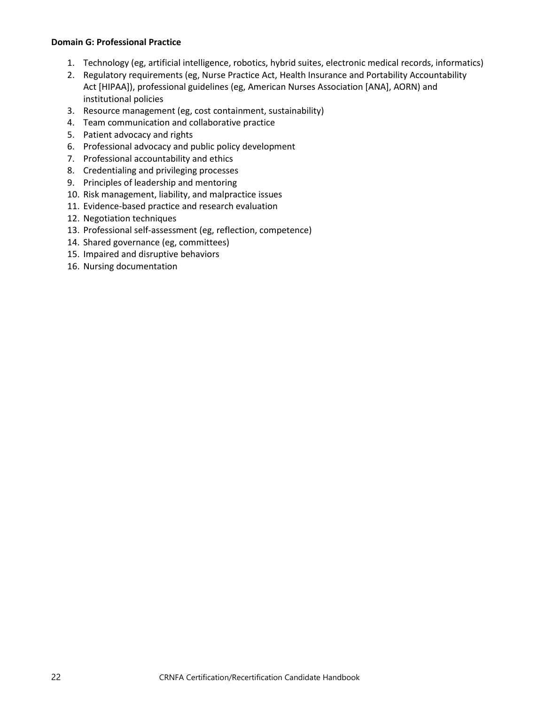#### **Domain G: Professional Practice**

- 1. Technology (eg, artificial intelligence, robotics, hybrid suites, electronic medical records, informatics)
- 2. Regulatory requirements (eg, Nurse Practice Act, Health Insurance and Portability Accountability Act [HIPAA]), professional guidelines (eg, American Nurses Association [ANA], AORN) and institutional policies
- 3. Resource management (eg, cost containment, sustainability)
- 4. Team communication and collaborative practice
- 5. Patient advocacy and rights
- 6. Professional advocacy and public policy development
- 7. Professional accountability and ethics
- 8. Credentialing and privileging processes
- 9. Principles of leadership and mentoring
- 10. Risk management, liability, and malpractice issues
- 11. Evidence-based practice and research evaluation
- 12. Negotiation techniques
- 13. Professional self-assessment (eg, reflection, competence)
- 14. Shared governance (eg, committees)
- 15. Impaired and disruptive behaviors
- 16. Nursing documentation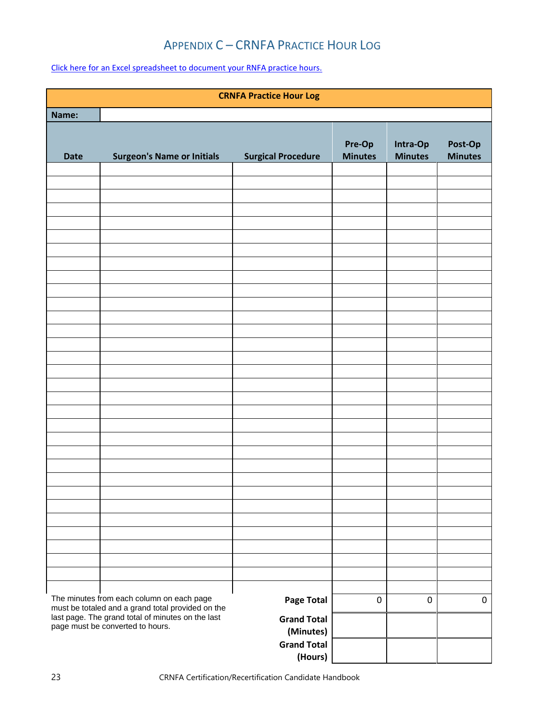# APPENDIX C – CRNFA PRACTICE HOUR LOG

<span id="page-26-0"></span>Click here for an [Excel spreadsheet to document your](https://nascertification.com/wp-content/uploads/2019/02/CRNFA-Practice-Hour-Log.xlsx) RNFA practice hours.

| <b>CRNFA Practice Hour Log</b>                                                                                                                                                          |                                   |                           |                          |                            |                           |
|-----------------------------------------------------------------------------------------------------------------------------------------------------------------------------------------|-----------------------------------|---------------------------|--------------------------|----------------------------|---------------------------|
| Name:                                                                                                                                                                                   |                                   |                           |                          |                            |                           |
| <b>Date</b>                                                                                                                                                                             | <b>Surgeon's Name or Initials</b> | <b>Surgical Procedure</b> | Pre-Op<br><b>Minutes</b> | Intra-Op<br><b>Minutes</b> | Post-Op<br><b>Minutes</b> |
|                                                                                                                                                                                         |                                   |                           |                          |                            |                           |
|                                                                                                                                                                                         |                                   |                           |                          |                            |                           |
|                                                                                                                                                                                         |                                   |                           |                          |                            |                           |
|                                                                                                                                                                                         |                                   |                           |                          |                            |                           |
|                                                                                                                                                                                         |                                   |                           |                          |                            |                           |
|                                                                                                                                                                                         |                                   |                           |                          |                            |                           |
|                                                                                                                                                                                         |                                   |                           |                          |                            |                           |
|                                                                                                                                                                                         |                                   |                           |                          |                            |                           |
|                                                                                                                                                                                         |                                   |                           |                          |                            |                           |
|                                                                                                                                                                                         |                                   |                           |                          |                            |                           |
|                                                                                                                                                                                         |                                   |                           |                          |                            |                           |
|                                                                                                                                                                                         |                                   |                           |                          |                            |                           |
|                                                                                                                                                                                         |                                   |                           |                          |                            |                           |
|                                                                                                                                                                                         |                                   |                           |                          |                            |                           |
|                                                                                                                                                                                         |                                   |                           |                          |                            |                           |
|                                                                                                                                                                                         |                                   |                           |                          |                            |                           |
|                                                                                                                                                                                         |                                   |                           |                          |                            |                           |
|                                                                                                                                                                                         |                                   |                           |                          |                            |                           |
|                                                                                                                                                                                         |                                   |                           |                          |                            |                           |
|                                                                                                                                                                                         |                                   |                           |                          |                            |                           |
|                                                                                                                                                                                         |                                   |                           |                          |                            |                           |
|                                                                                                                                                                                         |                                   |                           |                          |                            |                           |
|                                                                                                                                                                                         |                                   |                           |                          |                            |                           |
|                                                                                                                                                                                         |                                   |                           |                          |                            |                           |
|                                                                                                                                                                                         |                                   |                           |                          |                            |                           |
| The minutes from each column on each page<br>must be totaled and a grand total provided on the<br>last page. The grand total of minutes on the last<br>page must be converted to hours. | <b>Page Total</b>                 | $\pmb{0}$                 | $\pmb{0}$                | $\pmb{0}$                  |                           |
|                                                                                                                                                                                         | <b>Grand Total</b><br>(Minutes)   |                           |                          |                            |                           |
|                                                                                                                                                                                         |                                   | <b>Grand Total</b>        |                          |                            |                           |
|                                                                                                                                                                                         |                                   | (Hours)                   |                          |                            |                           |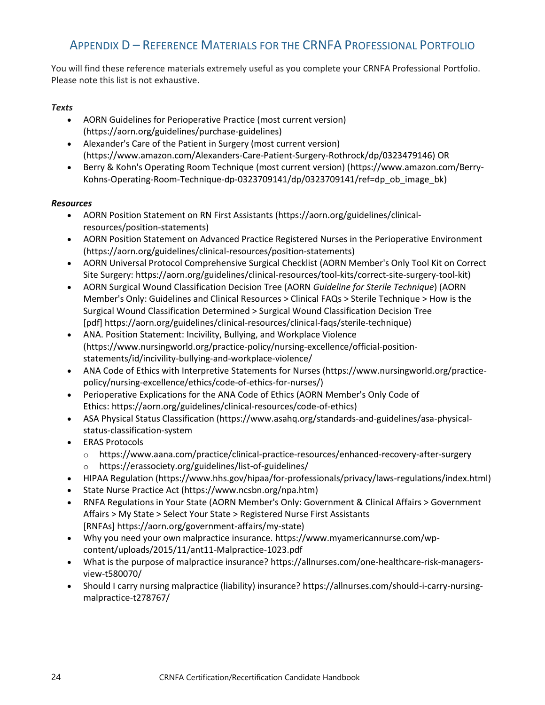# <span id="page-27-0"></span>APPENDIX D – REFERENCE MATERIALS FOR THE CRNFA PROFESSIONAL PORTFOLIO

You will find these reference materials extremely useful as you complete your CRNFA Professional Portfolio. Please note this list is not exhaustive.

### *Texts*

- AORN Guidelines for Perioperative Practice (most current version) [\(https://aorn.org/guidelines/purchase-guidelines\)](https://aorn.org/guidelines/purchase-guidelines)
- Alexander's Care of the Patient in Surgery (most current version) [\(https://www.amazon.com/Alexanders-Care-Patient-Surgery-Rothrock/dp/0323479146\)](https://www.amazon.com/Alexanders-Care-Patient-Surgery-Rothrock/dp/0323479146) OR
- Berry & Kohn's Operating Room Technique (most current version) [\(https://www.amazon.com/Berry-](https://www.amazon.com/Berry-Kohns-Operating-Room-Technique-dp-0323709141/dp/0323709141/ref=dp_ob_image_bk)[Kohns-Operating-Room-Technique-dp-0323709141/dp/0323709141/ref=dp\\_ob\\_image\\_bk\)](https://www.amazon.com/Berry-Kohns-Operating-Room-Technique-dp-0323709141/dp/0323709141/ref=dp_ob_image_bk)

### *Resources*

- AORN Position Statement on RN First Assistants [\(https://aorn.org/guidelines/clinical](https://aorn.org/guidelines/clinical-resources/position-statements))[resources/position-statements\)](https://aorn.org/guidelines/clinical-resources/position-statements))
- AORN Position Statement on Advanced Practice Registered Nurses in the Perioperative Environment [\(https://aorn.org/guidelines/clinical-resources/position-statements\)](https://www.aorn.org/guidelines/clinical-resources/position-statements)
- AORN Universal Protocol Comprehensive Surgical Checklist (AORN Member's Only Tool Kit on Correct Site Surgery: [https://aorn.org/guidelines/clinical-resources/tool-kits/correct-site-surgery-tool-kit\)](https://aorn.org/guidelines/clinical-resources/tool-kits/correct-site-surgery-tool-kit)
- AORN Surgical Wound Classification Decision Tree (AORN *Guideline for Sterile Technique*) (AORN Member's Only: Guidelines and Clinical Resources > Clinical FAQs > Sterile Technique > How is the Surgical Wound Classification Determined > Surgical Wound Classification Decision Tree [pdf] [https://aorn.org/guidelines/clinical-resources/clinical-faqs/sterile-technique\)](https://aorn.org/guidelines/clinical-resources/clinical-faqs/sterile-technique)
- ANA. Position Statement: Incivility, Bullying, and Workplace Violence [\(https://www.nursingworld.org/practice-policy/nursing-excellence/official-position](https://www.nursingworld.org/practice-policy/nursing-excellence/official-position-statements/id/incivility-bullying-and-workplace-violence/)[statements/id/incivility-bullying-and-workplace-violence/](https://www.nursingworld.org/practice-policy/nursing-excellence/official-position-statements/id/incivility-bullying-and-workplace-violence/)
- ANA Code of Ethics with Interpretive Statements for Nurses [\(https://www.nursingworld.org/practice](https://www.nursingworld.org/practice-policy/nursing-excellence/ethics/code-of-ethics-for-nurses/)[policy/nursing-excellence/ethics/code-of-ethics-for-nurses/\)](https://www.nursingworld.org/practice-policy/nursing-excellence/ethics/code-of-ethics-for-nurses/)
- Perioperative Explications for the ANA Code of Ethics (AORN Member's Only Code of Ethics: [https://aorn.org/guidelines/clinical-resources/code-of-ethics\)](https://aorn.org/guidelines/clinical-resources/code-of-ethics)
- ASA Physical Status Classification [\(https://www.asahq.org/standards-and-guidelines/asa-physical](https://www.asahq.org/standards-and-guidelines/asa-physical-status-classification-system)[status-classification-system](https://www.asahq.org/standards-and-guidelines/asa-physical-status-classification-system)
- ERAS Protocols
	- o <https://www.aana.com/practice/clinical-practice-resources/enhanced-recovery-after-surgery>
	- o <https://erassociety.org/guidelines/list-of-guidelines/>
- HIPAA Regulation [\(https://www.hhs.gov/hipaa/for-professionals/privacy/laws-regulations/index.html\)](https://www.hhs.gov/hipaa/for-professionals/privacy/laws-regulations/index.html)
- State Nurse Practice Act [\(https://www.ncsbn.org/npa.htm\)](https://www.ncsbn.org/npa.htm)
- RNFA Regulations in Your State (AORN Member's Only: Government & Clinical Affairs > Government Affairs > My State > Select Your State > Registered Nurse First Assistants [RNFAs] [https://aorn.org/government-affairs/my-state\)](https://aorn.org/government-affairs/my-state)
- Why you need your own malpractice insurance. [https://www.myamericannurse.com/wp](https://www.myamericannurse.com/wp-content/uploads/2015/11/ant11-Malpractice-1023.pdf)[content/uploads/2015/11/ant11-Malpractice-1023.pdf](https://www.myamericannurse.com/wp-content/uploads/2015/11/ant11-Malpractice-1023.pdf)
- What is the purpose of malpractice insurance? [https://allnurses.com/one-healthcare-risk-managers](https://allnurses.com/one-healthcare-risk-managers-view-t580070/)[view-t580070/](https://allnurses.com/one-healthcare-risk-managers-view-t580070/)
- Should I carry nursing malpractice (liability) insurance? [https://allnurses.com/should-i-carry-nursing](https://allnurses.com/should-i-carry-nursing-malpractice-t278767/)[malpractice-t278767/](https://allnurses.com/should-i-carry-nursing-malpractice-t278767/)